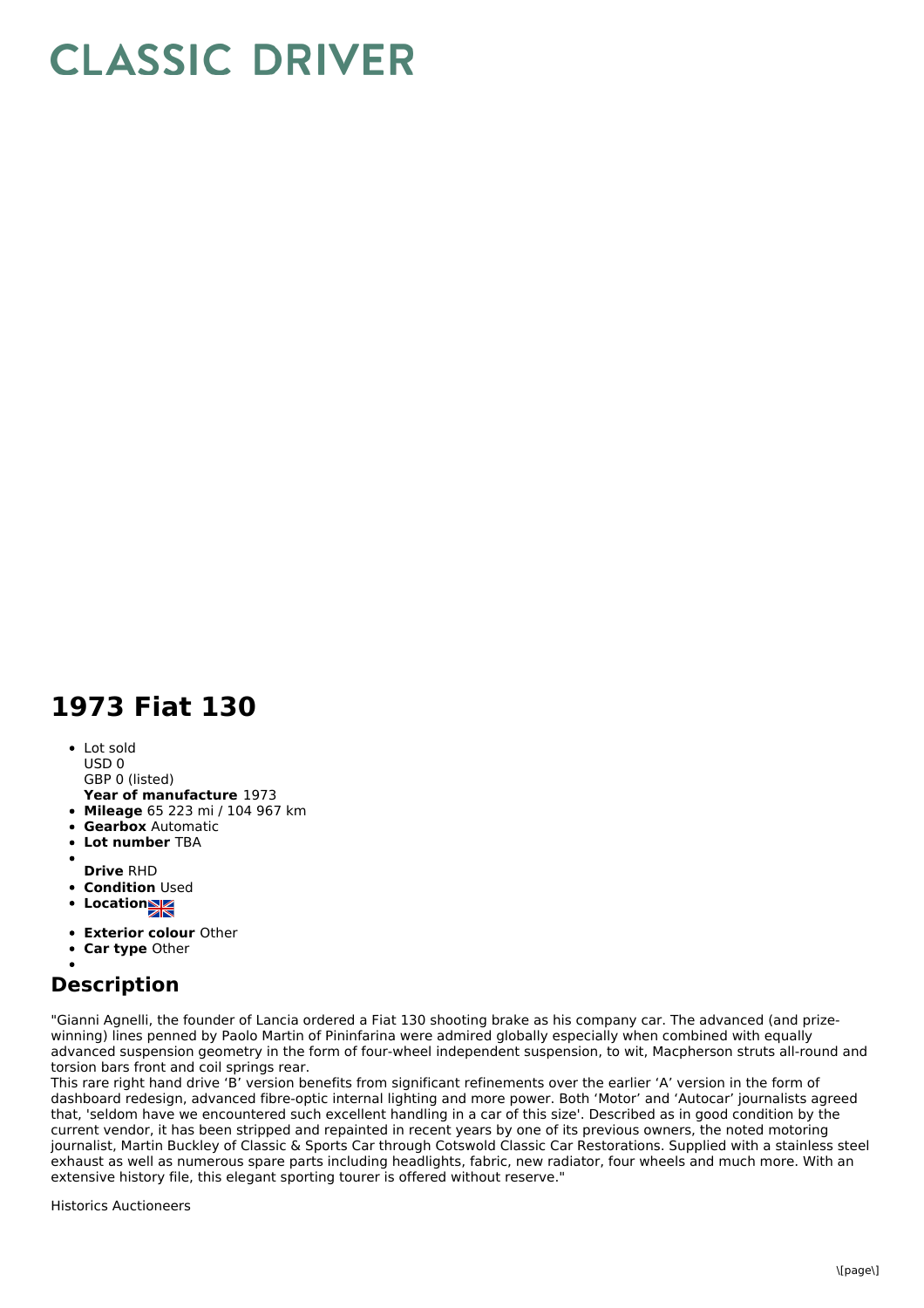## **CLASSIC DRIVER**

## **1973 Fiat 130**

• Lot sold USD 0

GBP 0 (listed)

- **Year of manufacture** 1973
- **Mileage** 65 223 mi / 104 967 km
- **Gearbox** Automatic
- $\bullet$ **Lot number** TBA
- 
- **Drive** RHD
- **Condition Used**
- **Location**
- **Exterior colour** Other
- **Car type** Other

## **Description**

"Gianni Agnelli, the founder of Lancia ordered a Fiat 130 shooting brake as his company car. The advanced (and prizewinning) lines penned by Paolo Martin of Pininfarina were admired globally especially when combined with equally advanced suspension geometry in the form of four-wheel independent suspension, to wit, Macpherson struts all-round and torsion bars front and coil springs rear.

This rare right hand drive 'B' version benefits from significant refinements over the earlier 'A' version in the form of dashboard redesign, advanced fibre-optic internal lighting and more power. Both 'Motor' and 'Autocar' journalists agreed that, 'seldom have we encountered such excellent handling in a car of this size'. Described as in good condition by the current vendor, it has been stripped and repainted in recent years by one of its previous owners, the noted motoring journalist, Martin Buckley of Classic & Sports Car through Cotswold Classic Car Restorations. Supplied with a stainless steel exhaust as well as numerous spare parts including headlights, fabric, new radiator, four wheels and much more. With an extensive history file, this elegant sporting tourer is offered without reserve."

Historics Auctioneers